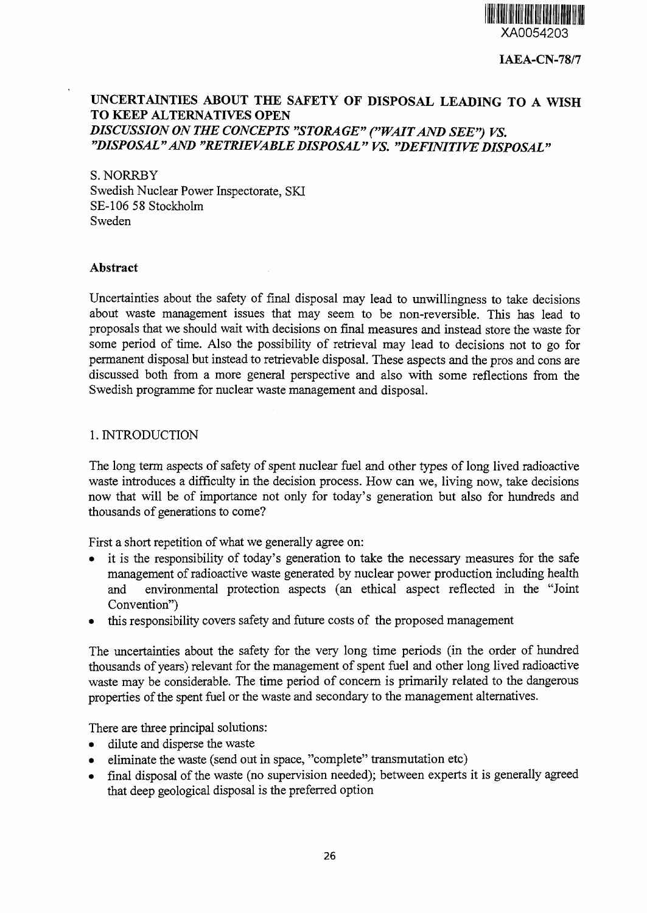

**IAEA-CN-78/7**

# **UNCERTAINTIES ABOUT THE SAFETY OF DISPOSAL LEADING TO A WISH TO KEEP ALTERNATIVES OPEN** *DISCUSSION ON THE CONCEPTS "STORAGE" ("WAITAND SEE") VS. "DISPOSAL"AND "RETRIEVABLEDISPOSAL" VS. "DEFINITIVEDISPOSAL"*

S. NORRBY Swedish Nuclear Power Inspectorate, SKI SE-106 58 Stockholm Sweden

#### **Abstract**

Uncertainties about the safety of final disposal may lead to unwillingness to take decisions about waste management issues that may seem to be non-reversible. This has lead to proposals that we should wait with decisions on final measures and instead store the waste for some period of time. Also the possibility of retrieval may lead to decisions not to go for permanent disposal but instead to retrievable disposal. These aspects and the pros and cons are discussed both from a more general perspective and also with some reflections from the Swedish programme for nuclear waste management and disposal.

#### 1. INTRODUCTION

The long term aspects of safety of spent nuclear fuel and other types of long lived radioactive waste introduces a difficulty in the decision process. How can we, living now, take decisions now that will be of importance not only for today's generation but also for hundreds and thousands of generations to come?

First a short repetition of what we generally agree on:

- it is the responsibility of today's generation to take the necessary measures for the safe management of radioactive waste generated by nuclear power production including health and environmental protection aspects (an ethical aspect reflected in the "Joint Convention")
- this responsibility covers safety and future costs of the proposed management

The uncertainties about the safety for the very long time periods (in the order of hundred thousands of years) relevant for the management of spent fuel and other long lived radioactive waste may be considerable. The time period of concern is primarily related to the dangerous properties of the spent fuel or the waste and secondary to the management alternatives.

There are three principal solutions:

- dilute and disperse the waste
- eliminate the waste (send out in space, "complete" transmutation etc)
- final disposal of the waste (no supervision needed); between experts it is generally agreed that deep geological disposal is the preferred option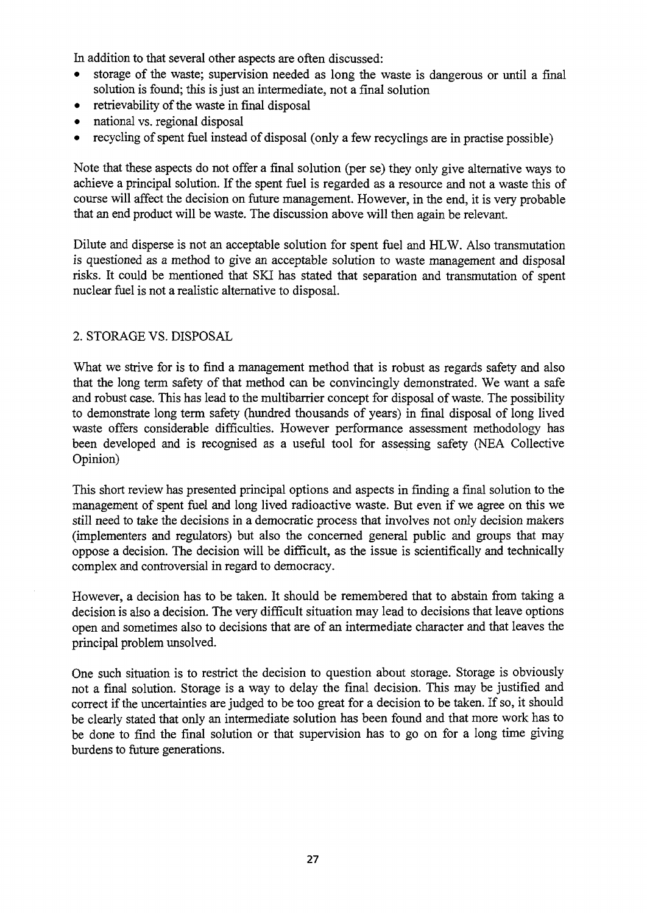In addition to that several other aspects are often discussed:

- storage of the waste; supervision needed as long the waste is dangerous or until a final solution is found; this is just an intermediate, not a final solution
- retrievability of the waste in final disposal
- national vs. regional disposal
- recycling of spent fuel instead of disposal (only a few recyclings are in practise possible)

Note that these aspects do not offer a final solution (per se) they only give alternative ways to achieve a principal solution. If the spent fuel is regarded as a resource and not a waste this of course will affect the decision on future management. However, in the end, it is very probable that an end product will be waste. The discussion above will then again be relevant.

Dilute and disperse is not an acceptable solution for spent fuel and HLW. Also transmutation *is* questioned as a method to give an acceptable solution to waste management and disposal risks. It could be mentioned that SKI has stated that separation and transmutation of spent nuclear fuel is not a realistic alternative to disposal.

# 2. STORAGE VS. DISPOSAL

What we strive for is to find a management method that is robust as regards safety and also that the long term safety of that method can be convincingly demonstrated. We want a safe and robust case. This has lead to the multibarrier concept for disposal of waste. The possibility to demonstrate long term safety (hundred thousands of years) in final disposal of long lived waste offers considerable difficulties. However performance assessment methodology has been developed and is recognised as a useful tool for assessing safety (NEA Collective Opinion)

This short review has presented principal options and aspects in finding a final solution to the management of spent fuel and long lived radioactive waste. But even if we agree on this we still need to take the decisions in a democratic process that involves not only decision makers (implementers and regulators) but also the concerned general public and groups that may oppose a decision. The decision will be difficult, as the issue is scientifically and technically complex and controversial in regard to democracy.

However, a decision has to be taken. It should be remembered that to abstain from taking a decision is also a decision. The very difficult situation may lead to decisions that leave options open and sometimes also to decisions that are of an intermediate character and that leaves the principal problem unsolved.

One such situation is to restrict the decision to question about storage. Storage is obviously not a final solution. Storage is a way to delay the final decision. This may be justified and correct if the uncertainties are judged to be too great for a decision to be taken. If so, it should be clearly stated that only an intermediate solution has been found and that more work has to be done to find the final solution or that supervision has to go on for a long time giving burdens to future generations.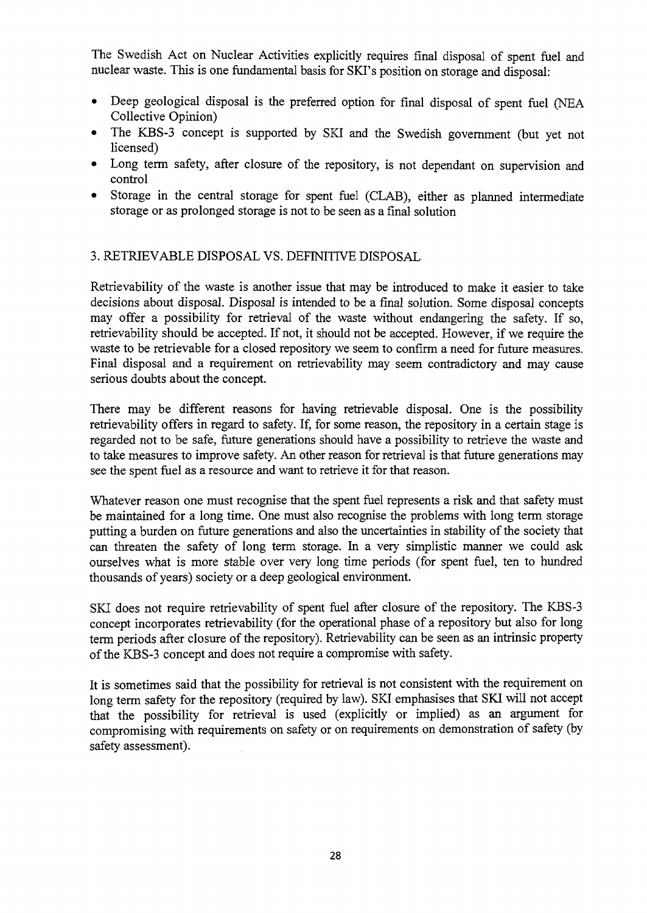The Swedish Act on Nuclear Activities explicitly requires final disposal of spent fuel and nuclear waste. This is one fundamental basis for SKI's position on storage and disposal:

- Deep geological disposal is the preferred option for final disposal of spent fuel (NEA Collective Opinion)
- The KBS-3 concept is supported by SKI and the Swedish government (but yet not licensed)
- Long term safety, after closure of the repository, is not dependant on supervision and control
- Storage in the central storage for spent fuel (CLAB), either as planned intermediate storage or as prolonged storage is not to be seen as a final solution

### 3. RETRIEVABLE DISPOSAL VS. DEFINITIVE DISPOSAL

Retrievability of the waste is another issue that may be introduced to make it easier to take decisions about disposal. Disposal is intended to be a final solution. Some disposal concepts may offer a possibility for retrieval of the waste without endangering the safety. If so, retrievability should be accepted. If not, it should not be accepted. However, if we require the waste to be retrievable for a closed repository we seem to confirm a need for future measures. Final disposal and a requirement on retrievability may seem contradictory and may cause serious doubts about the concept.

There may be different reasons for having retrievable disposal. One is the possibility retrievability offers in regard to safety. If, for some reason, the repository in a certain stage is regarded not to be safe, future generations should have a possibility to retrieve the waste and to take measures to improve safety. An other reason for retrieval is that future generations may see the spent fuel as a resource and want to retrieve it for that reason.

Whatever reason one must recognise that the spent fuel represents a risk and that safety must be maintained for a long time. One must also recognise the problems with long term storage putting a burden on future generations and also the uncertainties in stability of the society that can threaten the safety of long term storage. In a very simplistic manner we could ask ourselves what is more stable over very long time periods (for spent fuel, ten to hundred thousands of years) society or a deep geological environment.

SKI does not require retrievability of spent fuel after closure of the repository. The KBS-3 concept incorporates retrievability (for the operational phase of a repository but also for long term periods after closure of the repository). Retrievability can be seen as an intrinsic property of the KBS-3 concept and does not require a compromise with safety.

It is sometimes said that the possibility for retrieval is not consistent with the requirement on long term safety for the repository (required by law). SKI emphasises that SKI will not accept that the possibility for retrieval is used (explicitly or implied) as an argument for compromising with requirements on safety or on requirements on demonstration of safety (by safety assessment).